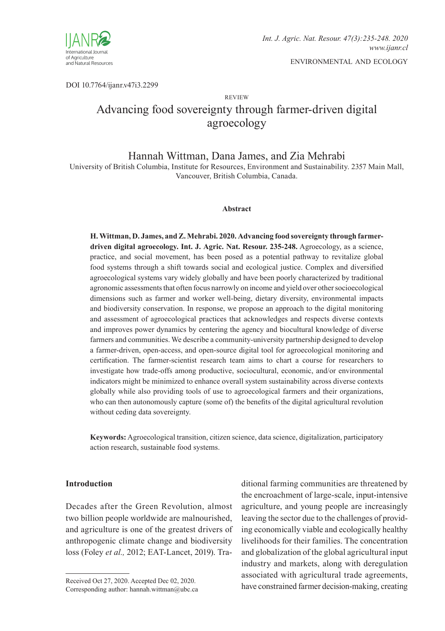

DOI 10.7764/ijanr.v47i3.2299

review

# Advancing food sovereignty through farmer-driven digital agroecology

# Hannah Wittman, Dana James, and Zia Mehrabi

University of British Columbia, Institute for Resources, Environment and Sustainability. 2357 Main Mall, Vancouver, British Columbia, Canada.

#### **Abstract**

**H.Wittman, D. James, andZ. Mehrabi. 2020. Advancing food sovereignty through farmerdriven digital agroecology. Int. J. Agric. Nat. Resour. 235-248.** Agroecology, as a science, practice, and social movement, has been posed as a potential pathway to revitalize global food systems through a shift towards social and ecological justice. Complex and diversified agroecological systems vary widely globally and have been poorly characterized by traditional agronomic assessments that often focus narrowly on income and yield over other socioecological dimensions such as farmer and worker well-being, dietary diversity, environmental impacts and biodiversity conservation. In response, we propose an approach to the digital monitoring and assessment of agroecological practices that acknowledges and respects diverse contexts and improves power dynamics by centering the agency and biocultural knowledge of diverse farmers and communities. We describe a community-university partnership designed to develop a farmer-driven, open-access, and open-source digital tool for agroecological monitoring and certification. The farmer-scientist research team aims to chart a course for researchers to investigate how trade-offs among productive, sociocultural, economic, and/or environmental indicators might be minimized to enhance overall system sustainability across diverse contexts globally while also providing tools of use to agroecological farmers and their organizations, who can then autonomously capture (some of) the benefits of the digital agricultural revolution without ceding data sovereignty.

**Keywords:** Agroecological transition, citizen science, data science, digitalization, participatory action research, sustainable food systems.

### **Introduction**

Decades after the Green Revolution, almost two billion people worldwide are malnourished, and agriculture is one of the greatest drivers of anthropogenic climate change and biodiversity loss (Foley *et al.,* 2012; EAT-Lancet, 2019). Tra-

Received Oct 27, 2020. Accepted Dec 02, 2020. Corresponding author: hannah.wittman@ubc.ca

ditional farming communities are threatened by the encroachment of large-scale, input-intensive agriculture, and young people are increasingly leaving the sector due to the challenges of providing economically viable and ecologically healthy livelihoods for their families. The concentration and globalization of the global agricultural input industry and markets, along with deregulation associated with agricultural trade agreements, have constrained farmer decision-making, creating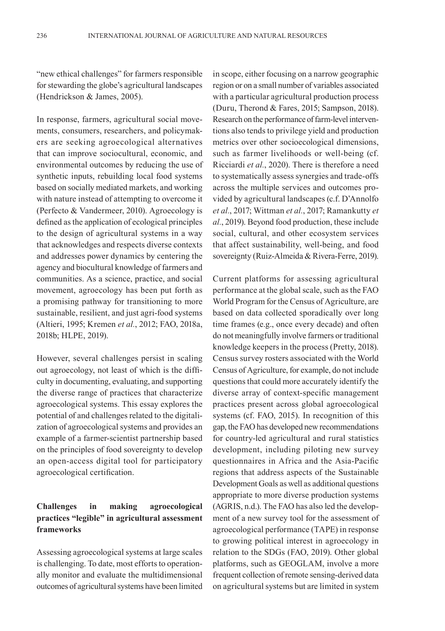"new ethical challenges" for farmers responsible for stewarding the globe's agricultural landscapes (Hendrickson & James, 2005).

In response, farmers, agricultural social movements, consumers, researchers, and policymakers are seeking agroecological alternatives that can improve sociocultural, economic, and environmental outcomes by reducing the use of synthetic inputs, rebuilding local food systems based on socially mediated markets, and working with nature instead of attempting to overcome it (Perfecto & Vandermeer, 2010). Agroecology is defined as the application of ecological principles to the design of agricultural systems in a way that acknowledges and respects diverse contexts and addresses power dynamics by centering the agency and biocultural knowledge of farmers and communities. As a science, practice, and social movement, agroecology has been put forth as a promising pathway for transitioning to more sustainable, resilient, and just agri-food systems (Altieri, 1995; Kremen *et al.*, 2012; FAO, 2018a, 2018b; HLPE, 2019).

However, several challenges persist in scaling out agroecology, not least of which is the difficulty in documenting, evaluating, and supporting the diverse range of practices that characterize agroecological systems. This essay explores the potential of and challenges related to the digitalization of agroecological systems and provides an example of a farmer-scientist partnership based on the principles of food sovereignty to develop an open-access digital tool for participatory agroecological certification.

### **Challenges in making agroecological practices "legible" in agricultural assessment frameworks**

Assessing agroecological systems at large scales is challenging. To date, most efforts to operationally monitor and evaluate the multidimensional outcomes of agricultural systems have been limited in scope, either focusing on a narrow geographic region or on a small number of variables associated with a particular agricultural production process (Duru, Therond & Fares, 2015; Sampson, 2018). Research on the performance of farm-level interventions also tends to privilege yield and production metrics over other socioecological dimensions, such as farmer livelihoods or well-being (cf. Ricciardi *et al.*, 2020). There is therefore a need to systematically assess synergies and trade-offs across the multiple services and outcomes provided by agricultural landscapes (c.f. D'Annolfo *et al.*, 2017; Wittman *et al.*, 2017; Ramankutty *et al.*, 2019). Beyond food production, these include social, cultural, and other ecosystem services that affect sustainability, well-being, and food sovereignty (Ruiz-Almeida & Rivera-Ferre, 2019).

Current platforms for assessing agricultural performance at the global scale, such as the FAO World Program for the Census of Agriculture, are based on data collected sporadically over long time frames (e.g., once every decade) and often do not meaningfully involve farmers or traditional knowledge keepers in the process (Pretty, 2018). Census survey rosters associated with the World Census of Agriculture, for example, do not include questions that could more accurately identify the diverse array of context-specific management practices present across global agroecological systems (cf. FAO, 2015). In recognition of this gap, the FAO has developed new recommendations for country-led agricultural and rural statistics development, including piloting new survey questionnaires in Africa and the Asia-Pacific regions that address aspects of the Sustainable Development Goals as well as additional questions appropriate to more diverse production systems (AGRIS, n.d.). The FAO has also led the development of a new survey tool for the assessment of agroecological performance (TAPE) in response to growing political interest in agroecology in relation to the SDGs (FAO, 2019). Other global platforms, such as GEOGLAM, involve a more frequent collection of remote sensing-derived data on agricultural systems but are limited in system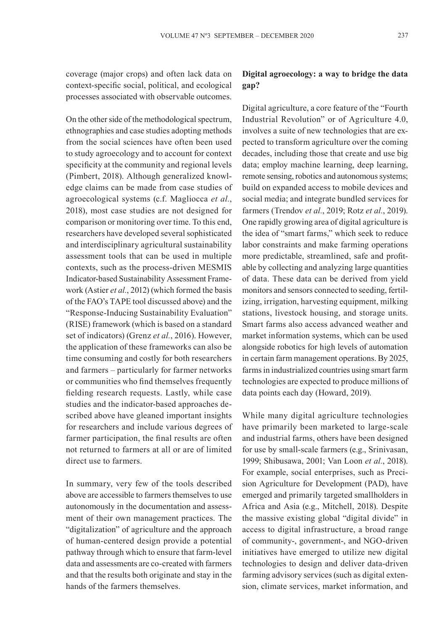coverage (major crops) and often lack data on context-specific social, political, and ecological processes associated with observable outcomes.

On the other side of the methodological spectrum, ethnographies and case studies adopting methods from the social sciences have often been used to study agroecology and to account for context specificity at the community and regional levels (Pimbert, 2018). Although generalized knowledge claims can be made from case studies of agroecological systems (c.f. Magliocca *et al.*, 2018), most case studies are not designed for comparison or monitoring over time. To this end, researchers have developed several sophisticated and interdisciplinary agricultural sustainability assessment tools that can be used in multiple contexts, such as the process-driven MESMIS Indicator-based Sustainability Assessment Framework (Astier *et al.*, 2012) (which formed the basis of the FAO's TAPE tool discussed above) and the "Response-Inducing Sustainability Evaluation" (RISE) framework (which is based on a standard set of indicators) (Grenz *et al.*, 2016). However, the application of these frameworks can also be time consuming and costly for both researchers and farmers – particularly for farmer networks or communities who find themselves frequently fielding research requests. Lastly, while case studies and the indicator-based approaches described above have gleaned important insights for researchers and include various degrees of farmer participation, the final results are often not returned to farmers at all or are of limited direct use to farmers.

In summary, very few of the tools described above are accessible to farmers themselves to use autonomously in the documentation and assessment of their own management practices. The "digitalization" of agriculture and the approach of human-centered design provide a potential pathway through which to ensure that farm-level data and assessments are co-created with farmers and that the results both originate and stay in the hands of the farmers themselves.

# **Digital agroecology: a way to bridge the data gap?**

Digital agriculture, a core feature of the "Fourth Industrial Revolution" or of Agriculture 4.0, involves a suite of new technologies that are expected to transform agriculture over the coming decades, including those that create and use big data; employ machine learning, deep learning, remote sensing, robotics and autonomous systems; build on expanded access to mobile devices and social media; and integrate bundled services for farmers (Trendov *et al.*, 2019; Rotz *et al.*, 2019). One rapidly growing area of digital agriculture is the idea of "smart farms," which seek to reduce labor constraints and make farming operations more predictable, streamlined, safe and profitable by collecting and analyzing large quantities of data. These data can be derived from yield monitors and sensors connected to seeding, fertilizing, irrigation, harvesting equipment, milking stations, livestock housing, and storage units. Smart farms also access advanced weather and market information systems, which can be used alongside robotics for high levels of automation in certain farm management operations. By 2025, farms in industrialized countries using smart farm technologies are expected to produce millions of data points each day (Howard, 2019).

While many digital agriculture technologies have primarily been marketed to large-scale and industrial farms, others have been designed for use by small-scale farmers (e.g., Srinivasan, 1999; Shibusawa, 2001; Van Loon *et al.*, 2018). For example, social enterprises, such as Precision Agriculture for Development (PAD), have emerged and primarily targeted smallholders in Africa and Asia (e.g., Mitchell, 2018). Despite the massive existing global "digital divide" in access to digital infrastructure, a broad range of community-, government-, and NGO-driven initiatives have emerged to utilize new digital technologies to design and deliver data-driven farming advisory services (such as digital extension, climate services, market information, and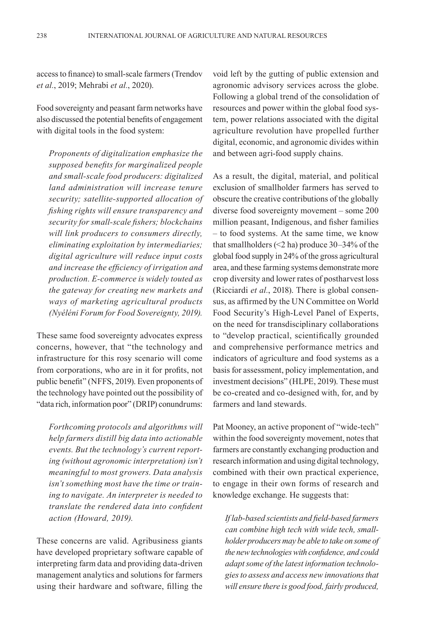access to finance) to small-scale farmers (Trendov *et al.*, 2019; Mehrabi *et al.*, 2020).

Food sovereignty and peasant farm networks have also discussed the potential benefits of engagement with digital tools in the food system:

*Proponents of digitalization emphasize the supposed benefits for marginalized people and small-scale food producers: digitalized land administration will increase tenure security; satellite-supported allocation of fishing rights will ensure transparency and security for small-scale fishers; blockchains will link producers to consumers directly, eliminating exploitation by intermediaries; digital agriculture will reduce input costs and increase the efficiency of irrigation and production. E-commerce is widely touted as the gateway for creating new markets and ways of marketing agricultural products (Nyéléni Forum for Food Sovereignty, 2019).*

These same food sovereignty advocates express concerns, however, that "the technology and infrastructure for this rosy scenario will come from corporations, who are in it for profits, not public benefit" (NFFS, 2019). Even proponents of the technology have pointed out the possibility of "data rich, information poor" (DRIP) conundrums:

*Forthcoming protocols and algorithms will help farmers distill big data into actionable events. But the technology's current reporting (without agronomic interpretation) isn't meaningful to most growers. Data analysis isn't something most have the time or training to navigate. An interpreter is needed to translate the rendered data into confident action (Howard, 2019).*

These concerns are valid. Agribusiness giants have developed proprietary software capable of interpreting farm data and providing data-driven management analytics and solutions for farmers using their hardware and software, filling the

void left by the gutting of public extension and agronomic advisory services across the globe. Following a global trend of the consolidation of resources and power within the global food system, power relations associated with the digital agriculture revolution have propelled further digital, economic, and agronomic divides within and between agri-food supply chains.

As a result, the digital, material, and political exclusion of smallholder farmers has served to obscure the creative contributions of the globally diverse food sovereignty movement – some 200 million peasant, Indigenous, and fisher families – to food systems. At the same time, we know that smallholders (<2 ha) produce 30–34% of the global food supply in 24% of the gross agricultural area, and these farming systems demonstrate more crop diversity and lower rates of postharvest loss (Ricciardi *et al.*, 2018). There is global consensus, as affirmed by the UN Committee on World Food Security's High-Level Panel of Experts, on the need for transdisciplinary collaborations to "develop practical, scientifically grounded and comprehensive performance metrics and indicators of agriculture and food systems as a basis for assessment, policy implementation, and investment decisions" (HLPE, 2019). These must be co-created and co-designed with, for, and by farmers and land stewards.

Pat Mooney, an active proponent of "wide-tech" within the food sovereignty movement, notes that farmers are constantly exchanging production and research information and using digital technology, combined with their own practical experience, to engage in their own forms of research and knowledge exchange. He suggests that:

*If lab-based scientists and field-based farmers can combine high tech with wide tech, smallholder producers may be able to take on some of the new technologies with confidence, and could adapt some of the latest information technologies to assess and access new innovations that will ensure there is good food, fairly produced,*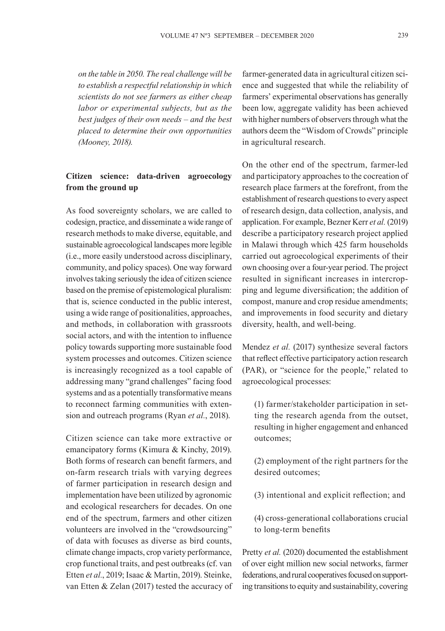*on the table in 2050. The real challenge will be to establish a respectful relationship in which scientists do not see farmers as either cheap labor or experimental subjects, but as the best judges of their own needs – and the best placed to determine their own opportunities (Mooney, 2018).*

### **Citizen science: data-driven agroecology from the ground up**

As food sovereignty scholars, we are called to codesign, practice, and disseminate a wide range of research methods to make diverse, equitable, and sustainable agroecological landscapes more legible (i.e., more easily understood across disciplinary, community, and policy spaces). One way forward involves taking seriously the idea of citizen science based on the premise of epistemological pluralism: that is, science conducted in the public interest, using a wide range of positionalities, approaches, and methods, in collaboration with grassroots social actors, and with the intention to influence policy towards supporting more sustainable food system processes and outcomes. Citizen science is increasingly recognized as a tool capable of addressing many "grand challenges" facing food systems and as a potentially transformative means to reconnect farming communities with extension and outreach programs (Ryan *et al.*, 2018).

Citizen science can take more extractive or emancipatory forms (Kimura & Kinchy, 2019). Both forms of research can benefit farmers, and on-farm research trials with varying degrees of farmer participation in research design and implementation have been utilized by agronomic and ecological researchers for decades. On one end of the spectrum, farmers and other citizen volunteers are involved in the "crowdsourcing" of data with focuses as diverse as bird counts, climate change impacts, crop variety performance, crop functional traits, and pest outbreaks (cf. van Etten *et al.*, 2019; Isaac & Martin, 2019). Steinke, van Etten & Zelan (2017) tested the accuracy of

farmer-generated data in agricultural citizen science and suggested that while the reliability of farmers' experimental observations has generally been low, aggregate validity has been achieved with higher numbers of observers through what the authors deem the "Wisdom of Crowds" principle in agricultural research.

On the other end of the spectrum, farmer-led and participatory approaches to the cocreation of research place farmers at the forefront, from the establishment of research questions to every aspect of research design, data collection, analysis, and application. For example, Bezner Kerr *et al.* (2019) describe a participatory research project applied in Malawi through which 425 farm households carried out agroecological experiments of their own choosing over a four-year period. The project resulted in significant increases in intercropping and legume diversification; the addition of compost, manure and crop residue amendments; and improvements in food security and dietary diversity, health, and well-being.

Mendez *et al.* (2017) synthesize several factors that reflect effective participatory action research (PAR), or "science for the people," related to agroecological processes:

(1) farmer/stakeholder participation in setting the research agenda from the outset, resulting in higher engagement and enhanced outcomes;

(2) employment of the right partners for the desired outcomes;

- (3) intentional and explicit reflection; and
- (4) cross-generational collaborations crucial to long-term benefits

Pretty *et al.* (2020) documented the establishment of over eight million new social networks, farmer federations, and rural cooperatives focused on supporting transitions to equity and sustainability, covering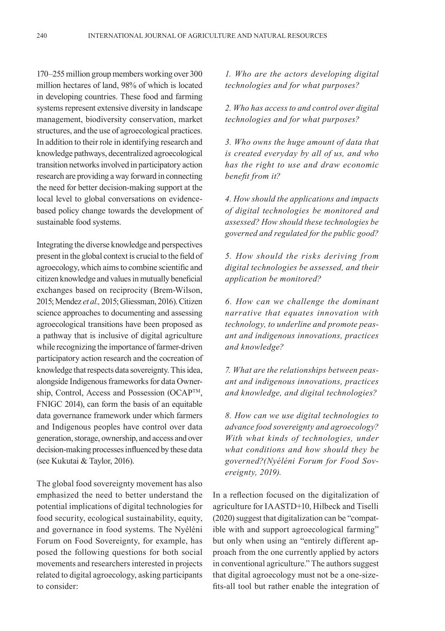170–255 million group members working over 300 million hectares of land, 98% of which is located in developing countries. These food and farming systems represent extensive diversity in landscape management, biodiversity conservation, market structures, and the use of agroecological practices. In addition to their role in identifying research and knowledge pathways, decentralized agroecological transition networks involved in participatory action research are providing a way forward in connecting the need for better decision-making support at the local level to global conversations on evidencebased policy change towards the development of sustainable food systems.

Integrating the diverse knowledge and perspectives present in the global context is crucial to the field of agroecology, which aims to combine scientific and citizen knowledge and values in mutually beneficial exchanges based on reciprocity (Brem-Wilson, 2015; Mendez *et al.,* 2015; Gliessman, 2016). Citizen science approaches to documenting and assessing agroecological transitions have been proposed as a pathway that is inclusive of digital agriculture while recognizing the importance of farmer-driven participatory action research and the cocreation of knowledge that respects data sovereignty. This idea, alongside Indigenous frameworks for data Ownership, Control, Access and Possession (OCAP<sup>TM</sup>, FNIGC 2014), can form the basis of an equitable data governance framework under which farmers and Indigenous peoples have control over data generation, storage, ownership, and access and over decision-making processes influenced by these data (see Kukutai & Taylor, 2016).

The global food sovereignty movement has also emphasized the need to better understand the potential implications of digital technologies for food security, ecological sustainability, equity, and governance in food systems. The Nyéléni Forum on Food Sovereignty, for example, has posed the following questions for both social movements and researchers interested in projects related to digital agroecology, asking participants to consider:

### *1. Who are the actors developing digital technologies and for what purposes?*

*2. Who has access to and control over digital technologies and for what purposes?*

*3. Who owns the huge amount of data that is created everyday by all of us, and who has the right to use and draw economic benefit from it?*

*4. How should the applications and impacts of digital technologies be monitored and assessed? How should these technologies be governed and regulated for the public good?*

*5. How should the risks deriving from digital technologies be assessed, and their application be monitored?*

*6. How can we challenge the dominant narrative that equates innovation with technology, to underline and promote peasant and indigenous innovations, practices and knowledge?*

*7. What are the relationships between peasant and indigenous innovations, practices and knowledge, and digital technologies?*

*8. How can we use digital technologies to advance food sovereignty and agroecology? With what kinds of technologies, under what conditions and how should they be governed?(Nyéléni Forum for Food Sovereignty, 2019).*

In a reflection focused on the digitalization of agriculture for IAASTD+10, Hilbeck and Tiselli (2020) suggest that digitalization can be "compatible with and support agroecological farming" but only when using an "entirely different approach from the one currently applied by actors in conventional agriculture." The authors suggest that digital agroecology must not be a one-sizefits-all tool but rather enable the integration of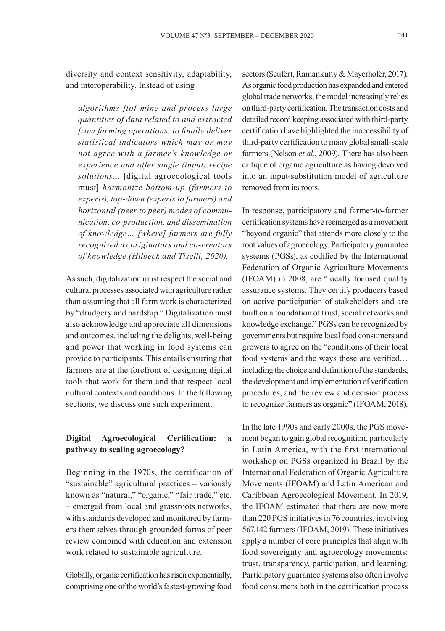diversity and context sensitivity, adaptability, and interoperability. Instead of using

*algorithms [to] mine and process large quantities of data related to and extracted from farming operations, to finally deliver statistical indicators which may or may not agree with a farmer's knowledge or experience and offer single (input) recipe solutions…* [digital agroecological tools must] *harmonize bottom-up (farmers to experts), top-down (experts to farmers) and horizontal (peer to peer) modes of communication, co-production, and dissemination of knowledge… [where] farmers are fully recognized as originators and co-creators of knowledge (Hilbeck and Tiselli, 2020).*

As such, digitalization must respect the social and cultural processes associated with agriculture rather than assuming that all farm work is characterized by "drudgery and hardship." Digitalization must also acknowledge and appreciate all dimensions and outcomes, including the delights, well-being and power that working in food systems can provide to participants. This entails ensuring that farmers are at the forefront of designing digital tools that work for them and that respect local cultural contexts and conditions. In the following sections, we discuss one such experiment.

# **Digital Agroecological Certification: a pathway to scaling agroecology?**

Beginning in the 1970s, the certification of "sustainable" agricultural practices – variously known as "natural," "organic," "fair trade," etc. – emerged from local and grassroots networks, with standards developed and monitored by farmers themselves through grounded forms of peer review combined with education and extension work related to sustainable agriculture.

Globally, organic certification has risen exponentially, comprising one of the world's fastest-growing food sectors (Seufert, Ramankutty & Mayerhofer, 2017). As organic food production has expanded and entered global trade networks, the model increasingly relies on third-party certification. The transaction costs and detailed record keeping associated with third-party certification have highlighted the inaccessibility of third-party certification to many global small-scale farmers (Nelson et al., 2009). There has also been critique of organic agriculture as having devolved into an input-substitution model of agriculture removed from its roots.

In response, participatory and farmer-to-farmer certification systems have reemerged as a movement "beyond organic" that attends more closely to the root values of agroecology. Participatory guarantee systems (PGSs), as codified by the International Federation of Organic Agriculture Movements (IFOAM) in 2008, are "locally focused quality assurance systems. They certify producers based on active participation of stakeholders and are built on a foundation of trust, social networks and knowledge exchange." PGSs can be recognized by governments but require local food consumers and growers to agree on the "conditions of their local food systems and the ways these are verified… including the choice and definition of the standards, the development and implementation of verification procedures, and the review and decision process to recognize farmers as organic" (IFOAM, 2018).

In the late 1990s and early 2000s, the PGS movement began to gain global recognition, particularly in Latin America, with the first international workshop on PGSs organized in Brazil by the International Federation of Organic Agriculture Movements (IFOAM) and Latin American and Caribbean Agroecological Movement. In 2019, the IFOAM estimated that there are now more than 220 PGS initiatives in 76 countries, involving 567,142 farmers (IFOAM, 2019). These initiatives apply a number of core principles that align with food sovereignty and agroecology movements: trust, transparency, participation, and learning. Participatory guarantee systems also often involve food consumers both in the certification process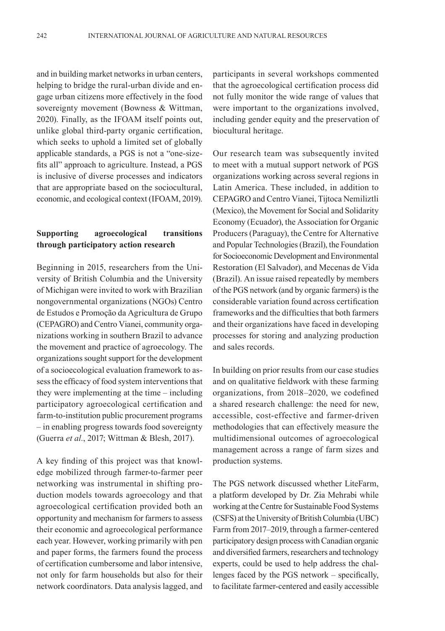and in building market networks in urban centers, helping to bridge the rural-urban divide and engage urban citizens more effectively in the food sovereignty movement (Bowness & Wittman, 2020). Finally, as the IFOAM itself points out, unlike global third-party organic certification, which seeks to uphold a limited set of globally applicable standards, a PGS is not a "one-sizefits all" approach to agriculture. Instead, a PGS is inclusive of diverse processes and indicators that are appropriate based on the sociocultural, economic, and ecological context (IFOAM, 2019).

### **Supporting agroecological transitions through participatory action research**

Beginning in 2015, researchers from the University of British Columbia and the University of Michigan were invited to work with Brazilian nongovernmental organizations (NGOs) Centro de Estudos e Promoção da Agricultura de Grupo (CEPAGRO) and Centro Vianei, community organizations working in southern Brazil to advance the movement and practice of agroecology. The organizations sought support for the development of a socioecological evaluation framework to assess the efficacy of food system interventions that they were implementing at the time – including participatory agroecological certification and farm-to-institution public procurement programs – in enabling progress towards food sovereignty (Guerra *et al.*, 2017; Wittman & Blesh, 2017).

A key finding of this project was that knowledge mobilized through farmer-to-farmer peer networking was instrumental in shifting production models towards agroecology and that agroecological certification provided both an opportunity and mechanism for farmers to assess their economic and agroecological performance each year. However, working primarily with pen and paper forms, the farmers found the process of certification cumbersome and labor intensive, not only for farm households but also for their network coordinators. Data analysis lagged, and

participants in several workshops commented that the agroecological certification process did not fully monitor the wide range of values that were important to the organizations involved, including gender equity and the preservation of biocultural heritage.

Our research team was subsequently invited to meet with a mutual support network of PGS organizations working across several regions in Latin America. These included, in addition to CEPAGRO and Centro Vianei, Tijtoca Nemiliztli (Mexico), the Movement for Social and Solidarity Economy (Ecuador), the Association for Organic Producers (Paraguay), the Centre for Alternative and Popular Technologies (Brazil), the Foundation for Socioeconomic Development and Environmental Restoration (El Salvador), and Mecenas de Vida (Brazil). An issue raised repeatedly by members of the PGS network (and by organic farmers) is the considerable variation found across certification frameworks and the difficulties that both farmers and their organizations have faced in developing processes for storing and analyzing production and sales records.

In building on prior results from our case studies and on qualitative fieldwork with these farming organizations, from 2018–2020, we codefined a shared research challenge: the need for new, accessible, cost-effective and farmer-driven methodologies that can effectively measure the multidimensional outcomes of agroecological management across a range of farm sizes and production systems.

The PGS network discussed whether LiteFarm, a platform developed by Dr. Zia Mehrabi while working at the Centre for Sustainable Food Systems (CSFS) at the University of British Columbia (UBC) Farm from 2017–2019, through a farmer-centered participatory design process with Canadian organic and diversified farmers, researchers and technology experts, could be used to help address the challenges faced by the PGS network – specifically, to facilitate farmer-centered and easily accessible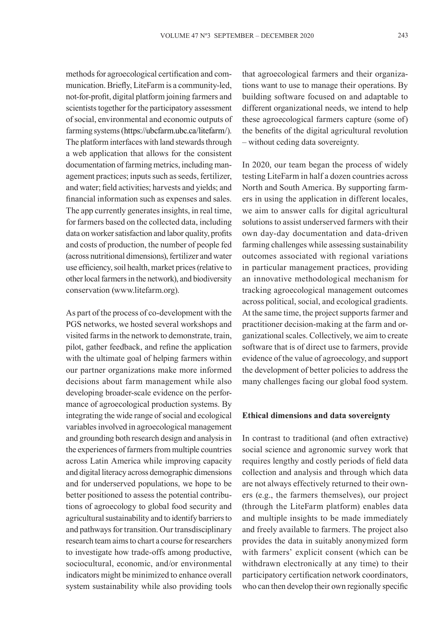methods for agroecological certification and communication. Briefly, LiteFarm is a community-led, not-for-profit, digital platform joining farmers and scientists together for the participatory assessment of social, environmental and economic outputs of farming systems (https://ubcfarm.ubc.ca/litefarm/). The platform interfaces with land stewards through a web application that allows for the consistent documentation of farming metrics, including management practices; inputs such as seeds, fertilizer, and water; field activities; harvests and yields; and financial information such as expenses and sales. The app currently generates insights, in real time, for farmers based on the collected data, including data on worker satisfaction and labor quality, profits and costs of production, the number of people fed (across nutritional dimensions), fertilizer and water use efficiency, soil health, market prices (relative to other local farmers in the network), and biodiversity conservation (www.litefarm.org).

As part of the process of co-development with the PGS networks, we hosted several workshops and visited farms in the network to demonstrate, train, pilot, gather feedback, and refine the application with the ultimate goal of helping farmers within our partner organizations make more informed decisions about farm management while also developing broader-scale evidence on the performance of agroecological production systems. By integrating the wide range of social and ecological variables involved in agroecological management and grounding both research design and analysis in the experiences of farmers from multiple countries across Latin America while improving capacity and digital literacy across demographic dimensions and for underserved populations, we hope to be better positioned to assess the potential contributions of agroecology to global food security and agricultural sustainability and to identify barriers to and pathways for transition. Our transdisciplinary research team aims to chart a course for researchers to investigate how trade-offs among productive, sociocultural, economic, and/or environmental indicators might be minimized to enhance overall system sustainability while also providing tools that agroecological farmers and their organizations want to use to manage their operations. By building software focused on and adaptable to different organizational needs, we intend to help these agroecological farmers capture (some of) the benefits of the digital agricultural revolution – without ceding data sovereignty.

In 2020, our team began the process of widely testing LiteFarm in half a dozen countries across North and South America. By supporting farmers in using the application in different locales, we aim to answer calls for digital agricultural solutions to assist underserved farmers with their own day-day documentation and data-driven farming challenges while assessing sustainability outcomes associated with regional variations in particular management practices, providing an innovative methodological mechanism for tracking agroecological management outcomes across political, social, and ecological gradients. At the same time, the project supports farmer and practitioner decision-making at the farm and organizational scales. Collectively, we aim to create software that is of direct use to farmers, provide evidence of the value of agroecology, and support the development of better policies to address the many challenges facing our global food system.

#### **Ethical dimensions and data sovereignty**

In contrast to traditional (and often extractive) social science and agronomic survey work that requires lengthy and costly periods of field data collection and analysis and through which data are not always effectively returned to their owners (e.g., the farmers themselves), our project (through the LiteFarm platform) enables data and multiple insights to be made immediately and freely available to farmers. The project also provides the data in suitably anonymized form with farmers' explicit consent (which can be withdrawn electronically at any time) to their participatory certification network coordinators, who can then develop their own regionally specific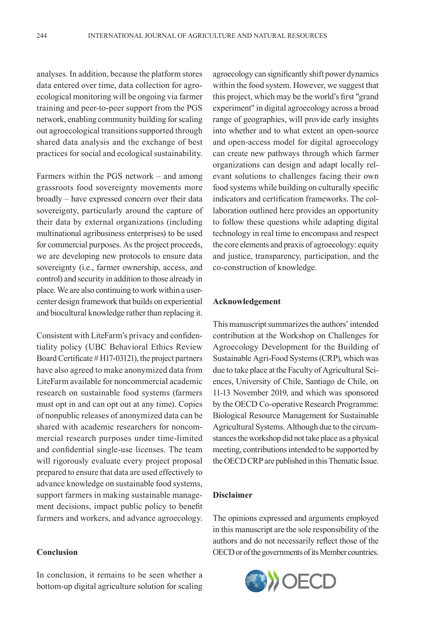analyses. In addition, because the platform stores data entered over time, data collection for agroecological monitoring will be ongoing via farmer training and peer-to-peer support from the PGS network, enabling community building for scaling out agroecological transitions supported through shared data analysis and the exchange of best practices for social and ecological sustainability.

Farmers within the PGS network – and among grassroots food sovereignty movements more broadly – have expressed concern over their data sovereignty, particularly around the capture of their data by external organizations (including multinational agribusiness enterprises) to be used for commercial purposes. As the project proceeds, we are developing new protocols to ensure data sovereignty (i.e., farmer ownership, access, and control) and security in addition to those already in place. We are also continuing to work within a usercenter design framework that builds on experiential and biocultural knowledge rather than replacing it.

Consistent with LiteFarm's privacy and confidentiality policy (UBC Behavioral Ethics Review Board Certificate # H17-03121), the project partners have also agreed to make anonymized data from LiteFarm available for noncommercial academic research on sustainable food systems (farmers must opt in and can opt out at any time). Copies of nonpublic releases of anonymized data can be shared with academic researchers for noncommercial research purposes under time-limited and confidential single-use licenses. The team will rigorously evaluate every project proposal prepared to ensure that data are used effectively to advance knowledge on sustainable food systems, support farmers in making sustainable management decisions, impact public policy to benefit farmers and workers, and advance agroecology.

#### **Conclusion**

In conclusion, it remains to be seen whether a bottom-up digital agriculture solution for scaling

agroecology can significantly shift power dynamics within the food system. However, we suggest that this project, which may be the world's first "grand experiment" in digital agroecology across a broad range of geographies, will provide early insights into whether and to what extent an open-source and open-access model for digital agroecology can create new pathways through which farmer organizations can design and adapt locally relevant solutions to challenges facing their own food systems while building on culturally specific indicators and certification frameworks. The collaboration outlined here provides an opportunity to follow these questions while adapting digital technology in real time to encompass and respect the core elements and praxis of agroecology: equity and justice, transparency, participation, and the co-construction of knowledge.

### **Acknowledgement**

This manuscript summarizes the authors' intended contribution at the Workshop on Challenges for Agroecology Development for the Building of Sustainable Agri-Food Systems (CRP), which was due to take place at the Faculty of Agricultural Sciences, University of Chile, Santiago de Chile, on 11-13 November 2019, and which was sponsored by the OECD Co-operative Research Programme: Biological Resource Management for Sustainable Agricultural Systems. Although due to the circumstances the workshop did not take place as a physical meeting, contributions intended to be supported by the OECD CRP are published in this Thematic Issue.

#### **Disclaimer**

The opinions expressed and arguments employed in this manuscript are the sole responsibility of the authors and do not necessarily reflect those of the OECD or of the governments of its Member countries.

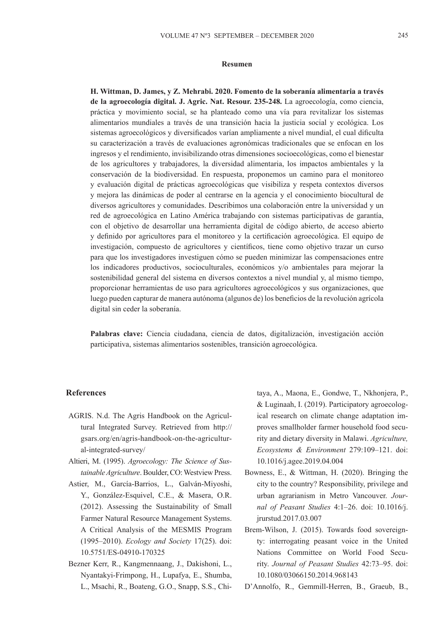#### **Resumen**

**H. Wittman, D. James, y Z. Mehrabi. 2020. Fomento de la soberanía alimentaria a través de la agroecología digital. J. Agric. Nat. Resour. 235-248.** La agroecología, como ciencia, práctica y movimiento social, se ha planteado como una vía para revitalizar los sistemas alimentarios mundiales a través de una transición hacia la justicia social y ecológica. Los sistemas agroecológicos y diversificados varían ampliamente a nivel mundial, el cual dificulta su caracterización a través de evaluaciones agronómicas tradicionales que se enfocan en los ingresos y el rendimiento, invisibilizando otras dimensiones socioecológicas, como el bienestar de los agricultores y trabajadores, la diversidad alimentaria, los impactos ambientales y la conservación de la biodiversidad. En respuesta, proponemos un camino para el monitoreo y evaluación digital de prácticas agroecológicas que visibiliza y respeta contextos diversos y mejora las dinámicas de poder al centrarse en la agencia y el conocimiento biocultural de diversos agricultores y comunidades. Describimos una colaboración entre la universidad y un red de agroecológica en Latino América trabajando con sistemas participativas de garantía, con el objetivo de desarrollar una herramienta digital de código abierto, de acceso abierto y definido por agricultores para el monitoreo y la certificación agroecológica. El equipo de investigación, compuesto de agricultores y científicos, tiene como objetivo trazar un curso para que los investigadores investiguen cómo se pueden minimizar las compensaciones entre los indicadores productivos, socioculturales, económicos y/o ambientales para mejorar la sostenibilidad general del sistema en diversos contextos a nivel mundial y, al mismo tiempo, proporcionar herramientas de uso para agricultores agroecológicos y sus organizaciones, que luego pueden capturar de manera autónoma (algunos de) los beneficios de la revolución agrícola digital sin ceder la soberanía.

**Palabras clave:** Ciencia ciudadana, ciencia de datos, digitalización, investigación acción participativa, sistemas alimentarios sostenibles, transición agroecológica.

### **References**

- AGRIS. N.d. The Agris Handbook on the Agricultural Integrated Survey. Retrieved from http:// gsars.org/en/agris-handbook-on-the-agricultural-integrated-survey/
- Altieri, M. (1995). *Agroecology: The Science of Sustainable Agriculture*. Boulder, CO: Westview Press.
- Astier, M., García-Barrios, L., Galván-Miyoshi, Y., González-Esquivel, C.E., & Masera, O.R. (2012). Assessing the Sustainability of Small Farmer Natural Resource Management Systems. A Critical Analysis of the MESMIS Program (1995–2010). *Ecology and Society* 17(25). doi: 10.5751/ES-04910-170325
- Bezner Kerr, R., Kangmennaang, J., Dakishoni, L., Nyantakyi-Frimpong, H., Lupafya, E., Shumba, L., Msachi, R., Boateng, G.O., Snapp, S.S., Chi-

taya, A., Maona, E., Gondwe, T., Nkhonjera, P., & Luginaah, I. (2019). Participatory agroecological research on climate change adaptation improves smallholder farmer household food security and dietary diversity in Malawi. *Agriculture, Ecosystems & Environment* 279:109–121. doi: 10.1016/j.agee.2019.04.004

- Bowness, E., & Wittman, H. (2020). Bringing the city to the country? Responsibility, privilege and urban agrarianism in Metro Vancouver. *Journal of Peasant Studies* 4:1–26. doi: 10.1016/j. jrurstud.2017.03.007
- Brem-Wilson, J. (2015). Towards food sovereignty: interrogating peasant voice in the United Nations Committee on World Food Security. *Journal of Peasant Studies* 42:73–95. doi: 10.1080/03066150.2014.968143
- D'Annolfo, R., Gemmill-Herren, B., Graeub, B.,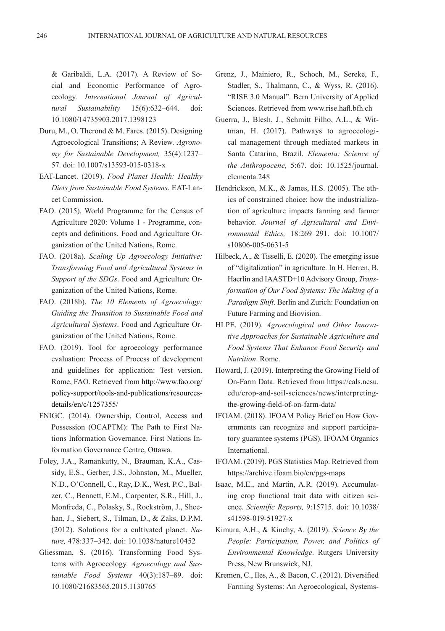& Garibaldi, L.A. (2017). A Review of Social and Economic Performance of Agroecology*. International Journal of Agricultural Sustainability* 15(6):632–644. doi: 10.1080/14735903.2017.1398123

- Duru, M., O. Therond & M. Fares. (2015). Designing Agroecological Transitions; A Review. *Agronomy for Sustainable Development,* 35(4):1237– 57. doi: 10.1007/s13593-015-0318-x
- EAT-Lancet. (2019). *Food Planet Health: Healthy Diets from Sustainable Food Systems*. EAT-Lancet Commission.
- FAO. (2015). World Programme for the Census of Agriculture 2020: Volume 1 - Programme, concepts and definitions. Food and Agriculture Organization of the United Nations, Rome.
- FAO. (2018a). *Scaling Up Agroecology Initiative: Transforming Food and Agricultural Systems in Support of the SDGs*. Food and Agriculture Organization of the United Nations, Rome.
- FAO. (2018b). *The 10 Elements of Agroecology: Guiding the Transition to Sustainable Food and Agricultural Systems*. Food and Agriculture Organization of the United Nations, Rome.
- FAO. (2019). Tool for agroecology performance evaluation: Process of Process of development and guidelines for application: Test version. Rome, FAO. Retrieved from http://www.fao.org/ policy-support/tools-and-publications/resourcesdetails/en/c/1257355/
- FNIGC. (2014). Ownership, Control, Access and Possession (OCAPTM): The Path to First Nations Information Governance. First Nations Information Governance Centre, Ottawa.
- Foley, J.A., Ramankutty, N., Brauman, K.A., Cassidy, E.S., Gerber, J.S., Johnston, M., Mueller, N.D., O'Connell, C., Ray, D.K., West, P.C., Balzer, C., Bennett, E.M., Carpenter, S.R., Hill, J., Monfreda, C., Polasky, S., Rockström, J., Sheehan, J., Siebert, S., Tilman, D., & Zaks, D.P.M. (2012). Solutions for a cultivated planet. *Nature,* 478:337–342. doi: 10.1038/nature10452
- Gliessman, S. (2016). Transforming Food Systems with Agroecology. *Agroecology and Sustainable Food Systems* 40(3):187–89. doi: 10.1080/21683565.2015.1130765
- Grenz, J., Mainiero, R., Schoch, M., Sereke, F., Stadler, S., Thalmann, C., & Wyss, R. (2016). "RISE 3.0 Manual". Bern University of Applied Sciences. Retrieved from www.rise.hafl.bfh.ch
- Guerra, J., Blesh, J., Schmitt Filho, A.L., & Wittman, H. (2017). Pathways to agroecological management through mediated markets in Santa Catarina, Brazil. *Elementa: Science of the Anthropocene,* 5:67. doi: 10.1525/journal. elementa.248
- Hendrickson, M.K., & James, H.S. (2005). The ethics of constrained choice: how the industrialization of agriculture impacts farming and farmer behavior. *Journal of Agricultural and Environmental Ethics,* 18:269–291. doi: 10.1007/ s10806-005-0631-5
- Hilbeck, A., & Tisselli, E. (2020). The emerging issue of "digitalization" in agriculture. In H. Herren, B. Haerlin and IAASTD+10 Advisory Group, *Transformation of Our Food Systems: The Making of a Paradigm Shift*. Berlin and Zurich: Foundation on Future Farming and Biovision.
- HLPE. (2019). *Agroecological and Other Innovative Approaches for Sustainable Agriculture and Food Systems That Enhance Food Security and Nutrition*. Rome.
- Howard, J. (2019). Interpreting the Growing Field of On-Farm Data. Retrieved from https://cals.ncsu. edu/crop-and-soil-sciences/news/interpretingthe-growing-field-of-on-farm-data/
- IFOAM. (2018). IFOAM Policy Brief on How Governments can recognize and support participatory guarantee systems (PGS). IFOAM Organics International.
- IFOAM. (2019). PGS Statistics Map. Retrieved from https://archive.ifoam.bio/en/pgs-maps
- Isaac, M.E., and Martin, A.R. (2019). Accumulating crop functional trait data with citizen science. *Scientific Reports,* 9:15715. doi: 10.1038/ s41598-019-51927-x
- Kimura, A.H., & Kinchy, A. (2019). *Science By the People: Participation, Power, and Politics of Environmental Knowledge*. Rutgers University Press, New Brunswick, NJ.
- Kremen, C., Iles, A., & Bacon, C. (2012). Diversified Farming Systems: An Agroecological, Systems-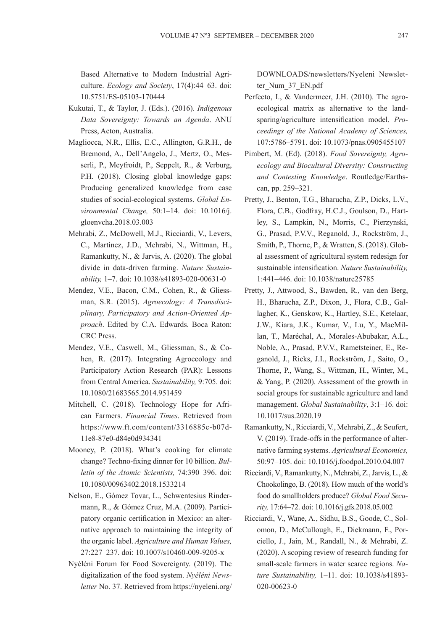Based Alternative to Modern Industrial Agriculture. *Ecology and Society*, 17(4):44–63. doi: 10.5751/ES-05103-170444

- Kukutai, T., & Taylor, J. (Eds.). (2016). *Indigenous Data Sovereignty: Towards an Agenda*. ANU Press, Acton, Australia.
- Magliocca, N.R., Ellis, E.C., Allington, G.R.H., de Bremond, A., Dell'Angelo, J., Mertz, O., Messerli, P., Meyfroidt, P., Seppelt, R., & Verburg, P.H. (2018). Closing global knowledge gaps: Producing generalized knowledge from case studies of social-ecological systems. *Global Environmental Change,* 50:1–14. doi: 10.1016/j. gloenvcha.2018.03.003
- Mehrabi, Z., McDowell, M.J., Ricciardi, V., Levers, C., Martinez, J.D., Mehrabi, N., Wittman, H., Ramankutty, N., & Jarvis, A. (2020). The global divide in data-driven farming. *Nature Sustainability,* 1–7. doi: 10.1038/s41893-020-00631-0
- Mendez, V.E., Bacon, C.M., Cohen, R., & Gliessman, S.R. (2015). *Agroecology: A Transdisciplinary, Participatory and Action-Oriented Approach*. Edited by C.A. Edwards. Boca Raton: CRC Press.
- Mendez, V.E., Caswell, M., Gliessman, S., & Cohen, R. (2017). Integrating Agroecology and Participatory Action Research (PAR): Lessons from Central America. *Sustainability,* 9:705. doi: 10.1080/21683565.2014.951459
- Mitchell, C. (2018). Technology Hope for African Farmers. *Financial Times*. Retrieved from https://www.ft.com/content/3316885c-b07d-11e8-87e0-d84e0d934341
- Mooney, P. (2018). What's cooking for climate change? Techno-fixing dinner for 10 billion. *Bulletin of the Atomic Scientists,* 74:390–396. doi: 10.1080/00963402.2018.1533214
- Nelson, E., Gómez Tovar, L., Schwentesius Rindermann, R., & Gómez Cruz, M.A. (2009). Participatory organic certification in Mexico: an alternative approach to maintaining the integrity of the organic label. *Agriculture and Human Values,*  27:227–237. doi: 10.1007/s10460-009-9205-x
- Nyéléni Forum for Food Sovereignty. (2019). The digitalization of the food system. *Nyéléni Newsletter* No. 37. Retrieved from https://nyeleni.org/

DOWNLOADS/newsletters/Nyeleni\_Newsletter\_Num\_37\_EN.pdf

- Perfecto, I., & Vandermeer, J.H. (2010). The agroecological matrix as alternative to the landsparing/agriculture intensification model. *Proceedings of the National Academy of Sciences,*  107:5786–5791. doi: 10.1073/pnas.0905455107
- Pimbert, M. (Ed). (2018). *Food Sovereignty, Agroecology and Biocultural Diversity: Constructing and Contesting Knowledge*. Routledge/Earthscan, pp. 259–321.
- Pretty, J., Benton, T.G., Bharucha, Z.P., Dicks, L.V., Flora, C.B., Godfray, H.C.J., Goulson, D., Hartley, S., Lampkin, N., Morris, C., Pierzynski, G., Prasad, P.V.V., Reganold, J., Rockström, J., Smith, P., Thorne, P., & Wratten, S. (2018). Global assessment of agricultural system redesign for sustainable intensification. *Nature Sustainability,* 1:441–446. doi: 10.1038/nature25785
- Pretty, J., Attwood, S., Bawden, R., van den Berg, H., Bharucha, Z.P., Dixon, J., Flora, C.B., Gallagher, K., Genskow, K., Hartley, S.E., Ketelaar, J.W., Kiara, J.K., Kumar, V., Lu, Y., MacMillan, T., Maréchal, A., Morales-Abubakar, A.L., Noble, A., Prasad, P.V.V., Rametsteiner, E., Reganold, J., Ricks, J.I., Rockström, J., Saito, O., Thorne, P., Wang, S., Wittman, H., Winter, M., & Yang, P. (2020). Assessment of the growth in social groups for sustainable agriculture and land management. *Global Sustainability*, 3:1–16. doi: 10.1017/sus.2020.19
- Ramankutty, N., Ricciardi, V., Mehrabi, Z., & Seufert, V. (2019). Trade-offs in the performance of alternative farming systems. *Agricultural Economics,* 50:97–105. doi: 10.1016/j.foodpol.2010.04.007
- Ricciardi, V., Ramankutty, N., Mehrabi, Z., Jarvis, L., & Chookolingo, B. (2018). How much of the world's food do smallholders produce? *Global Food Security,* 17:64–72. doi: 10.1016/j.gfs.2018.05.002
- Ricciardi, V., Wane, A., Sidhu, B.S., Goode, C., Solomon, D., McCullough, E., Diekmann, F., Porciello, J., Jain, M., Randall, N., & Mehrabi, Z. (2020). A scoping review of research funding for small-scale farmers in water scarce regions. *Nature Sustainability,* 1–11. doi: 10.1038/s41893- 020-00623-0